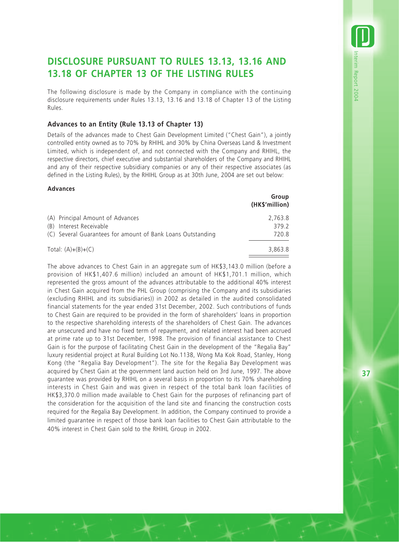# **DISCLOSURE PURSUANT TO RULES 13.13, 13.16 AND 13.18 OF CHAPTER 13 OF THE LISTING RULES**

The following disclosure is made by the Company in compliance with the continuing disclosure requirements under Rules 13.13, 13.16 and 13.18 of Chapter 13 of the Listing Rules.

## **Advances to an Entity (Rule 13.13 of Chapter 13)**

Details of the advances made to Chest Gain Development Limited ("Chest Gain"), a jointly controlled entity owned as to 70% by RHIHL and 30% by China Overseas Land & Investment Limited, which is independent of, and not connected with the Company and RHIHL, the respective directors, chief executive and substantial shareholders of the Company and RHIHL and any of their respective subsidiary companies or any of their respective associates (as defined in the Listing Rules), by the RHIHL Group as at 30th June, 2004 are set out below:

#### **Advances**

|                                                             | Group<br>(HK\$'million) |
|-------------------------------------------------------------|-------------------------|
| (A) Principal Amount of Advances                            | 2.763.8                 |
| (B) Interest Receivable                                     | 379.2                   |
| (C) Several Guarantees for amount of Bank Loans Outstanding | 720.8                   |
| Total: $(A)+(B)+(C)$                                        | 3,863.8                 |

The above advances to Chest Gain in an aggregate sum of HK\$3,143.0 million (before a provision of HK\$1,407.6 million) included an amount of HK\$1,701.1 million, which represented the gross amount of the advances attributable to the additional 40% interest in Chest Gain acquired from the PHL Group (comprising the Company and its subsidiaries (excluding RHIHL and its subsidiaries)) in 2002 as detailed in the audited consolidated financial statements for the year ended 31st December, 2002. Such contributions of funds to Chest Gain are required to be provided in the form of shareholders' loans in proportion to the respective shareholding interests of the shareholders of Chest Gain. The advances are unsecured and have no fixed term of repayment, and related interest had been accrued at prime rate up to 31st December, 1998. The provision of financial assistance to Chest Gain is for the purpose of facilitating Chest Gain in the development of the "Regalia Bay" luxury residential project at Rural Building Lot No.1138, Wong Ma Kok Road, Stanley, Hong Kong (the "Regalia Bay Development"). The site for the Regalia Bay Development was acquired by Chest Gain at the government land auction held on 3rd June, 1997. The above guarantee was provided by RHIHL on a several basis in proportion to its 70% shareholding interests in Chest Gain and was given in respect of the total bank loan facilities of HK\$3,370.0 million made available to Chest Gain for the purposes of refinancing part of the consideration for the acquisition of the land site and financing the construction costs required for the Regalia Bay Development. In addition, the Company continued to provide a limited guarantee in respect of those bank loan facilities to Chest Gain attributable to the 40% interest in Chest Gain sold to the RHIHL Group in 2002.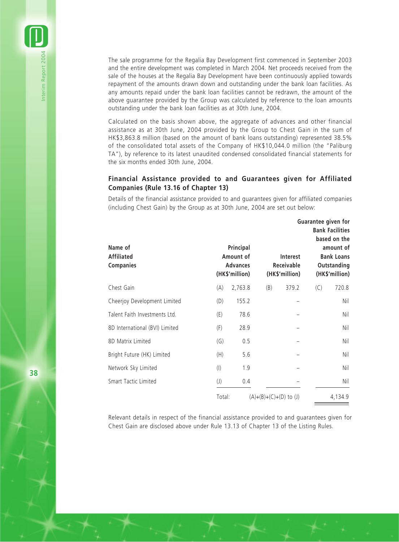The sale programme for the Regalia Bay Development first commenced in September 2003 and the entire development was completed in March 2004. Net proceeds received from the sale of the houses at the Regalia Bay Development have been continuously applied towards repayment of the amounts drawn down and outstanding under the bank loan facilities. As any amounts repaid under the bank loan facilities cannot be redrawn, the amount of the above guarantee provided by the Group was calculated by reference to the loan amounts outstanding under the bank loan facilities as at 30th June, 2004.

Calculated on the basis shown above, the aggregate of advances and other financial assistance as at 30th June, 2004 provided by the Group to Chest Gain in the sum of HK\$3,863.8 million (based on the amount of bank loans outstanding) represented 38.5% of the consolidated total assets of the Company of HK\$10,044.0 million (the "Paliburg TA"), by reference to its latest unaudited condensed consolidated financial statements for the six months ended 30th June, 2004.

## **Financial Assistance provided to and Guarantees given for Affiliated Companies (Rule 13.16 of Chapter 13)**

Details of the financial assistance provided to and guarantees given for affiliated companies (including Chest Gain) by the Group as at 30th June, 2004 are set out below:

| Name of<br><b>Affiliated</b><br><b>Companies</b> |                          | Principal<br>Amount of<br><b>Advances</b><br>(HK\$'million) |                          | Interest<br><b>Receivable</b><br>(HK\$'million) |     | Guarantee given for<br><b>Bank Facilities</b><br>based on the<br>amount of<br><b>Bank Loans</b><br>Outstanding<br>(HK\$'million) |
|--------------------------------------------------|--------------------------|-------------------------------------------------------------|--------------------------|-------------------------------------------------|-----|----------------------------------------------------------------------------------------------------------------------------------|
| Chest Gain                                       | (A)                      | 2,763.8                                                     | (B)                      | 379.2                                           | (C) | 720.8                                                                                                                            |
| Cheerjoy Development Limited                     | (D)                      | 155.2                                                       |                          |                                                 |     | Nil                                                                                                                              |
| Talent Faith Investments Ltd.                    | (E)                      | 78.6                                                        |                          |                                                 |     | Nil                                                                                                                              |
| 8D International (BVI) Limited                   | (F)                      | 28.9                                                        |                          |                                                 |     | Nil                                                                                                                              |
| 8D Matrix Limited                                | (G)                      | 0.5                                                         |                          |                                                 |     | Nil                                                                                                                              |
| Bright Future (HK) Limited                       | (H)                      | 5.6                                                         |                          |                                                 |     | Nil                                                                                                                              |
| Network Sky Limited                              | $($ l $)$                | 1.9                                                         |                          |                                                 |     | Nil                                                                                                                              |
| Smart Tactic Limited                             | $\left( \text{ }\right)$ | 0.4                                                         |                          |                                                 |     | Nil                                                                                                                              |
|                                                  | Total:                   |                                                             | $(A)+(B)+(C)+(D)$ to (J) |                                                 |     | 4,134.9                                                                                                                          |

Relevant details in respect of the financial assistance provided to and guarantees given for Chest Gain are disclosed above under Rule 13.13 of Chapter 13 of the Listing Rules.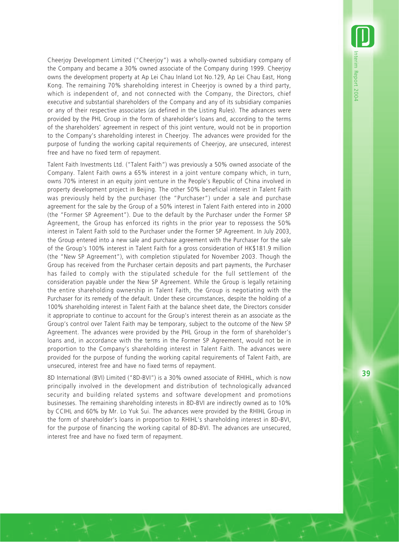Cheerjoy Development Limited ("Cheerjoy") was a wholly-owned subsidiary company of the Company and became a 30% owned associate of the Company during 1999. Cheerjoy owns the development property at Ap Lei Chau Inland Lot No.129, Ap Lei Chau East, Hong Kong. The remaining 70% shareholding interest in Cheerjoy is owned by a third party, which is independent of, and not connected with the Company, the Directors, chief executive and substantial shareholders of the Company and any of its subsidiary companies or any of their respective associates (as defined in the Listing Rules). The advances were provided by the PHL Group in the form of shareholder's loans and, according to the terms of the shareholders' agreement in respect of this joint venture, would not be in proportion to the Company's shareholding interest in Cheerjoy. The advances were provided for the purpose of funding the working capital requirements of Cheerjoy, are unsecured, interest free and have no fixed term of repayment.

Talent Faith Investments Ltd. ("Talent Faith") was previously a 50% owned associate of the Company. Talent Faith owns a 65% interest in a joint venture company which, in turn, owns 70% interest in an equity joint venture in the People's Republic of China involved in property development project in Beijing. The other 50% beneficial interest in Talent Faith was previously held by the purchaser (the "Purchaser") under a sale and purchase agreement for the sale by the Group of a 50% interest in Talent Faith entered into in 2000 (the "Former SP Agreement"). Due to the default by the Purchaser under the Former SP Agreement, the Group has enforced its rights in the prior year to repossess the 50% interest in Talent Faith sold to the Purchaser under the Former SP Agreement. In July 2003, the Group entered into a new sale and purchase agreement with the Purchaser for the sale of the Group's 100% interest in Talent Faith for a gross consideration of HK\$181.9 million (the "New SP Agreement"), with completion stipulated for November 2003. Though the Group has received from the Purchaser certain deposits and part payments, the Purchaser has failed to comply with the stipulated schedule for the full settlement of the consideration payable under the New SP Agreement. While the Group is legally retaining the entire shareholding ownership in Talent Faith, the Group is negotiating with the Purchaser for its remedy of the default. Under these circumstances, despite the holding of a 100% shareholding interest in Talent Faith at the balance sheet date, the Directors consider it appropriate to continue to account for the Group's interest therein as an associate as the Group's control over Talent Faith may be temporary, subject to the outcome of the New SP Agreement. The advances were provided by the PHL Group in the form of shareholder's loans and, in accordance with the terms in the Former SP Agreement, would not be in proportion to the Company's shareholding interest in Talent Faith. The advances were provided for the purpose of funding the working capital requirements of Talent Faith, are unsecured, interest free and have no fixed terms of repayment.

8D International (BVI) Limited ("8D-BVI") is a 30% owned associate of RHIHL, which is now principally involved in the development and distribution of technologically advanced security and building related systems and software development and promotions businesses. The remaining shareholding interests in 8D-BVI are indirectly owned as to 10% by CCIHL and 60% by Mr. Lo Yuk Sui. The advances were provided by the RHIHL Group in the form of shareholder's loans in proportion to RHIHL's shareholding interest in 8D-BVI, for the purpose of financing the working capital of 8D-BVI. The advances are unsecured, interest free and have no fixed term of repayment.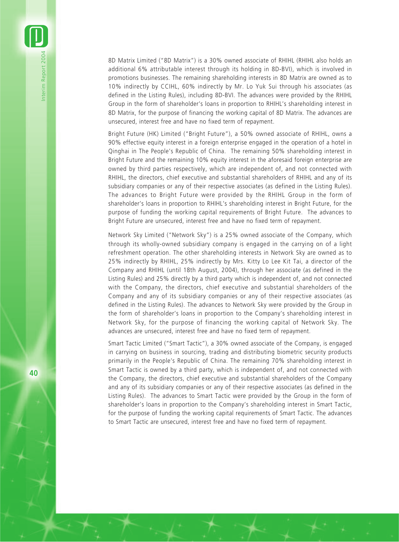8D Matrix Limited ("8D Matrix") is a 30% owned associate of RHIHL (RHIHL also holds an additional 6% attributable interest through its holding in 8D-BVI), which is involved in promotions businesses. The remaining shareholding interests in 8D Matrix are owned as to 10% indirectly by CCIHL, 60% indirectly by Mr. Lo Yuk Sui through his associates (as defined in the Listing Rules), including 8D-BVI. The advances were provided by the RHIHL Group in the form of shareholder's loans in proportion to RHIHL's shareholding interest in 8D Matrix, for the purpose of financing the working capital of 8D Matrix. The advances are unsecured, interest free and have no fixed term of repayment.

Bright Future (HK) Limited ("Bright Future"), a 50% owned associate of RHIHL, owns a 90% effective equity interest in a foreign enterprise engaged in the operation of a hotel in Qinghai in The People's Republic of China. The remaining 50% shareholding interest in Bright Future and the remaining 10% equity interest in the aforesaid foreign enterprise are owned by third parties respectively, which are independent of, and not connected with RHIHL, the directors, chief executive and substantial shareholders of RHIHL and any of its subsidiary companies or any of their respective associates (as defined in the Listing Rules). The advances to Bright Future were provided by the RHIHL Group in the form of shareholder's loans in proportion to RHIHL's shareholding interest in Bright Future, for the purpose of funding the working capital requirements of Bright Future. The advances to Bright Future are unsecured, interest free and have no fixed term of repayment.

Network Sky Limited ("Network Sky") is a 25% owned associate of the Company, which through its wholly-owned subsidiary company is engaged in the carrying on of a light refreshment operation. The other shareholding interests in Network Sky are owned as to 25% indirectly by RHIHL, 25% indirectly by Mrs. Kitty Lo Lee Kit Tai, a director of the Company and RHIHL (until 18th August, 2004), through her associate (as defined in the Listing Rules) and 25% directly by a third party which is independent of, and not connected with the Company, the directors, chief executive and substantial shareholders of the Company and any of its subsidiary companies or any of their respective associates (as defined in the Listing Rules). The advances to Network Sky were provided by the Group in the form of shareholder's loans in proportion to the Company's shareholding interest in Network Sky, for the purpose of financing the working capital of Network Sky. The advances are unsecured, interest free and have no fixed term of repayment.

Smart Tactic Limited ("Smart Tactic"), a 30% owned associate of the Company, is engaged in carrying on business in sourcing, trading and distributing biometric security products primarily in the People's Republic of China. The remaining 70% shareholding interest in Smart Tactic is owned by a third party, which is independent of, and not connected with the Company, the directors, chief executive and substantial shareholders of the Company and any of its subsidiary companies or any of their respective associates (as defined in the Listing Rules). The advances to Smart Tactic were provided by the Group in the form of shareholder's loans in proportion to the Company's shareholding interest in Smart Tactic, for the purpose of funding the working capital requirements of Smart Tactic. The advances to Smart Tactic are unsecured, interest free and have no fixed term of repayment.